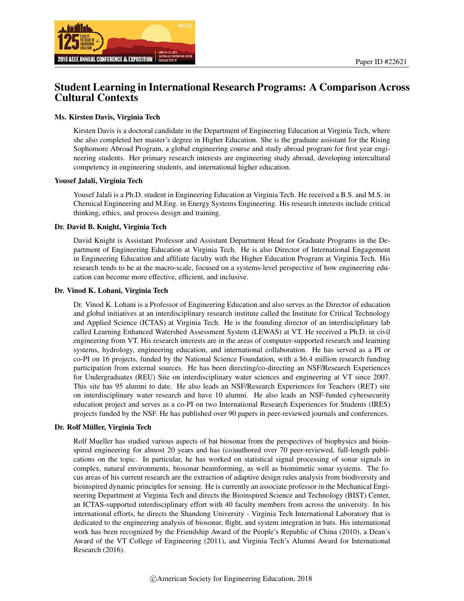

## Student Learning in International Research Programs: A Comparison Across Cultural Contexts

#### Ms. Kirsten Davis, Virginia Tech

Kirsten Davis is a doctoral candidate in the Department of Engineering Education at Virginia Tech, where she also completed her master's degree in Higher Education. She is the graduate assistant for the Rising Sophomore Abroad Program, a global engineering course and study abroad program for first year engineering students. Her primary research interests are engineering study abroad, developing intercultural competency in engineering students, and international higher education.

#### Yousef Jalali, Virginia Tech

Yousef Jalali is a Ph.D. student in Engineering Education at Virginia Tech. He received a B.S. and M.S. in Chemical Engineering and M.Eng. in Energy Systems Engineering. His research interests include critical thinking, ethics, and process design and training.

#### Dr. David B. Knight, Virginia Tech

David Knight is Assistant Professor and Assistant Department Head for Graduate Programs in the Department of Engineering Education at Virginia Tech. He is also Director of International Engagement in Engineering Education and affiliate faculty with the Higher Education Program at Virginia Tech. His research tends to be at the macro-scale, focused on a systems-level perspective of how engineering education can become more effective, efficient, and inclusive.

#### Dr. Vinod K. Lohani, Virginia Tech

Dr. Vinod K. Lohani is a Professor of Engineering Education and also serves as the Director of education and global initiatives at an interdisciplinary research institute called the Institute for Critical Technology and Applied Science (ICTAS) at Virginia Tech. He is the founding director of an interdisciplinary lab called Learning Enhanced Watershed Assessment System (LEWAS) at VT. He received a Ph.D. in civil engineering from VT. His research interests are in the areas of computer-supported research and learning systems, hydrology, engineering education, and international collaboration. He has served as a PI or co-PI on 16 projects, funded by the National Science Foundation, with a \$6.4 million research funding participation from external sources. He has been directing/co-directing an NSF/Research Experiences for Undergraduates (REU) Site on interdisciplinary water sciences and engineering at VT since 2007. This site has 95 alumni to date. He also leads an NSF/Research Experiences for Teachers (RET) site on interdisciplinary water research and have 10 alumni. He also leads an NSF-funded cybersecurity education project and serves as a co-PI on two International Research Experiences for Students (IRES) projects funded by the NSF. He has published over 90 papers in peer-reviewed journals and conferences.

#### Dr. Rolf Müller, Virginia Tech

Rolf Mueller has studied various aspects of bat biosonar from the perspectives of biophysics and bioinspired engineering for almost 20 years and has (co)authored over 70 peer-reviewed, full-length publications on the topic. In particular, he has worked on statistical signal processing of sonar signals in complex, natural environments, biosonar beamforming, as well as biomimetic sonar systems. The focus areas of his current research are the extraction of adaptive design rules analysis from biodiversity and bioinspired dynamic principles for sensing. He is currently an associate professor in the Mechanical Engineering Department at Virginia Tech and directs the Bioinspired Science and Technology (BIST) Center, an ICTAS-supported interdisciplinary effort with 40 faculty members from across the university. In his international efforts, he directs the Shandong University - Virginia Tech International Laboratory that is dedicated to the engineering analysis of biosonar, flight, and system integration in bats. His international work has been recognized by the Friendship Award of the People's Republic of China (2010), a Dean's Award of the VT College of Engineering (2011), and Virginia Tech's Alumni Award for International Research (2016).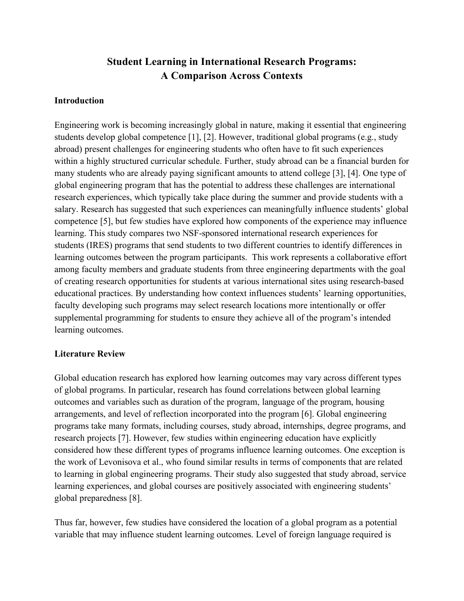# **Student Learning in International Research Programs: A Comparison Across Contexts**

### **Introduction**

Engineering work is becoming increasingly global in nature, making it essential that engineering students develop global competence [1], [2]. However, traditional global programs (e.g., study abroad) present challenges for engineering students who often have to fit such experiences within a highly structured curricular schedule. Further, study abroad can be a financial burden for many students who are already paying significant amounts to attend college [3], [4]. One type of global engineering program that has the potential to address these challenges are international research experiences, which typically take place during the summer and provide students with a salary. Research has suggested that such experiences can meaningfully influence students' global competence [5], but few studies have explored how components of the experience may influence learning. This study compares two NSF-sponsored international research experiences for students (IRES) programs that send students to two different countries to identify differences in learning outcomes between the program participants. This work represents a collaborative effort among faculty members and graduate students from three engineering departments with the goal of creating research opportunities for students at various international sites using research-based educational practices. By understanding how context influences students' learning opportunities, faculty developing such programs may select research locations more intentionally or offer supplemental programming for students to ensure they achieve all of the program's intended learning outcomes.

### **Literature Review**

Global education research has explored how learning outcomes may vary across different types of global programs. In particular, research has found correlations between global learning outcomes and variables such as duration of the program, language of the program, housing arrangements, and level of reflection incorporated into the program [6]. Global engineering programs take many formats, including courses, study abroad, internships, degree programs, and research projects [7]. However, few studies within engineering education have explicitly considered how these different types of programs influence learning outcomes. One exception is the work of Levonisova et al., who found similar results in terms of components that are related to learning in global engineering programs. Their study also suggested that study abroad, service learning experiences, and global courses are positively associated with engineering students' global preparedness [8].

Thus far, however, few studies have considered the location of a global program as a potential variable that may influence student learning outcomes. Level of foreign language required is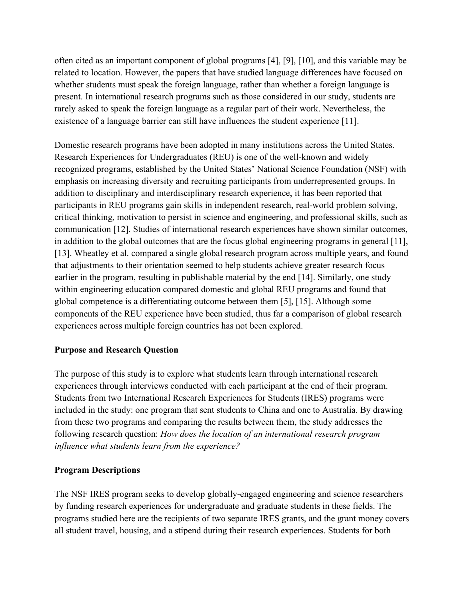often cited as an important component of global programs [4], [9], [10], and this variable may be related to location. However, the papers that have studied language differences have focused on whether students must speak the foreign language, rather than whether a foreign language is present. In international research programs such as those considered in our study, students are rarely asked to speak the foreign language as a regular part of their work. Nevertheless, the existence of a language barrier can still have influences the student experience [11].

Domestic research programs have been adopted in many institutions across the United States. Research Experiences for Undergraduates (REU) is one of the well-known and widely recognized programs, established by the United States' National Science Foundation (NSF) with emphasis on increasing diversity and recruiting participants from underrepresented groups. In addition to disciplinary and interdisciplinary research experience, it has been reported that participants in REU programs gain skills in independent research, real-world problem solving, critical thinking, motivation to persist in science and engineering, and professional skills, such as communication [12]. Studies of international research experiences have shown similar outcomes, in addition to the global outcomes that are the focus global engineering programs in general [11], [13]. Wheatley et al. compared a single global research program across multiple years, and found that adjustments to their orientation seemed to help students achieve greater research focus earlier in the program, resulting in publishable material by the end [14]. Similarly, one study within engineering education compared domestic and global REU programs and found that global competence is a differentiating outcome between them [5], [15]. Although some components of the REU experience have been studied, thus far a comparison of global research experiences across multiple foreign countries has not been explored.

## **Purpose and Research Question**

The purpose of this study is to explore what students learn through international research experiences through interviews conducted with each participant at the end of their program. Students from two International Research Experiences for Students (IRES) programs were included in the study: one program that sent students to China and one to Australia. By drawing from these two programs and comparing the results between them, the study addresses the following research question: *How does the location of an international research program influence what students learn from the experience?*

## **Program Descriptions**

The NSF IRES program seeks to develop globally-engaged engineering and science researchers by funding research experiences for undergraduate and graduate students in these fields. The programs studied here are the recipients of two separate IRES grants, and the grant money covers all student travel, housing, and a stipend during their research experiences. Students for both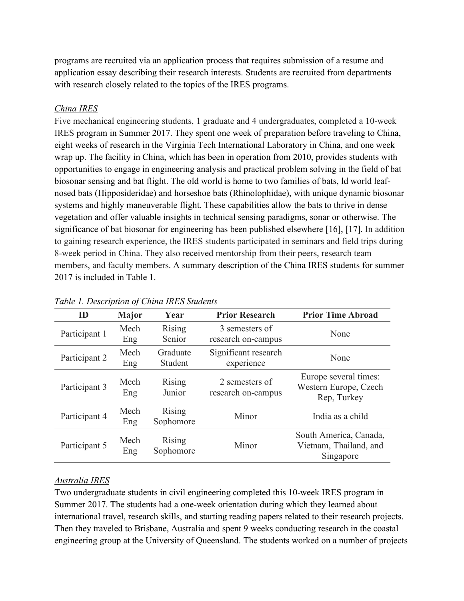programs are recruited via an application process that requires submission of a resume and application essay describing their research interests. Students are recruited from departments with research closely related to the topics of the IRES programs.

#### *China IRES*

Five mechanical engineering students, 1 graduate and 4 undergraduates, completed a 10-week IRES program in Summer 2017. They spent one week of preparation before traveling to China, eight weeks of research in the Virginia Tech International Laboratory in China, and one week wrap up. The facility in China, which has been in operation from 2010, provides students with opportunities to engage in engineering analysis and practical problem solving in the field of bat biosonar sensing and bat flight. The old world is home to two families of bats, ld world leafnosed bats (Hipposideridae) and horseshoe bats (Rhinolophidae), with unique dynamic biosonar systems and highly maneuverable flight. These capabilities allow the bats to thrive in dense vegetation and offer valuable insights in technical sensing paradigms, sonar or otherwise. The significance of bat biosonar for engineering has been published elsewhere [16], [17]. In addition to gaining research experience, the IRES students participated in seminars and field trips during 8-week period in China. They also received mentorship from their peers, research team members, and faculty members. A summary description of the China IRES students for summer 2017 is included in Table 1.

| ID            | <b>Major</b> | Year                       | <b>Prior Research</b>                | <b>Prior Time Abroad</b>                                      |
|---------------|--------------|----------------------------|--------------------------------------|---------------------------------------------------------------|
| Participant 1 | Mech<br>Eng  | <b>Rising</b><br>Senior    | 3 semesters of<br>research on-campus | None                                                          |
| Participant 2 | Mech<br>Eng  | Graduate<br>Student        | Significant research<br>experience   | None                                                          |
| Participant 3 | Mech<br>Eng  | <b>Rising</b><br>Junior    | 2 semesters of<br>research on-campus | Europe several times:<br>Western Europe, Czech<br>Rep. Turkey |
| Participant 4 | Mech<br>Eng  | Rising<br>Sophomore        | Minor                                | India as a child                                              |
| Participant 5 | Mech<br>Eng  | <b>Rising</b><br>Sophomore | Minor                                | South America, Canada,<br>Vietnam, Thailand, and<br>Singapore |

*Table 1. Description of China IRES Students*

#### *Australia IRES*

Two undergraduate students in civil engineering completed this 10-week IRES program in Summer 2017. The students had a one-week orientation during which they learned about international travel, research skills, and starting reading papers related to their research projects. Then they traveled to Brisbane, Australia and spent 9 weeks conducting research in the coastal engineering group at the University of Queensland. The students worked on a number of projects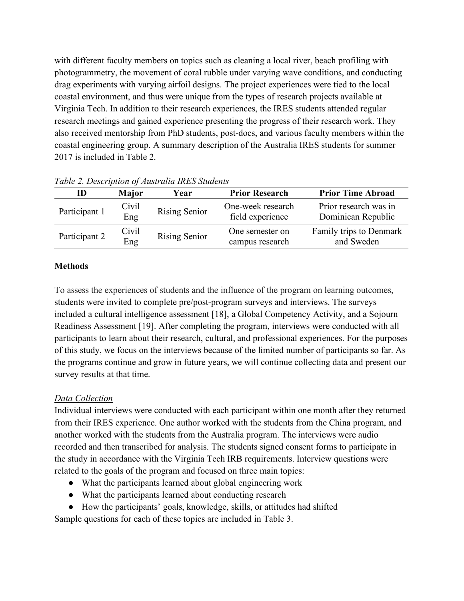with different faculty members on topics such as cleaning a local river, beach profiling with photogrammetry, the movement of coral rubble under varying wave conditions, and conducting drag experiments with varying airfoil designs. The project experiences were tied to the local coastal environment, and thus were unique from the types of research projects available at Virginia Tech. In addition to their research experiences, the IRES students attended regular research meetings and gained experience presenting the progress of their research work. They also received mentorship from PhD students, post-docs, and various faculty members within the coastal engineering group. A summary description of the Australia IRES students for summer 2017 is included in Table 2.

| ID            | <b>Major</b> | Year                 | <b>Prior Research</b>                 | <b>Prior Time Abroad</b>                    |
|---------------|--------------|----------------------|---------------------------------------|---------------------------------------------|
| Participant 1 | Civil<br>Eng | <b>Rising Senior</b> | One-week research<br>field experience | Prior research was in<br>Dominican Republic |
| Participant 2 | Civil<br>Eng | Rising Senior        | One semester on<br>campus research    | Family trips to Denmark<br>and Sweden       |

*Table 2. Description of Australia IRES Students*

## **Methods**

To assess the experiences of students and the influence of the program on learning outcomes, students were invited to complete pre/post-program surveys and interviews. The surveys included a cultural intelligence assessment [18], a Global Competency Activity, and a Sojourn Readiness Assessment [19]. After completing the program, interviews were conducted with all participants to learn about their research, cultural, and professional experiences. For the purposes of this study, we focus on the interviews because of the limited number of participants so far. As the programs continue and grow in future years, we will continue collecting data and present our survey results at that time.

## *Data Collection*

Individual interviews were conducted with each participant within one month after they returned from their IRES experience. One author worked with the students from the China program, and another worked with the students from the Australia program. The interviews were audio recorded and then transcribed for analysis. The students signed consent forms to participate in the study in accordance with the Virginia Tech IRB requirements. Interview questions were related to the goals of the program and focused on three main topics:

- What the participants learned about global engineering work
- What the participants learned about conducting research
- How the participants' goals, knowledge, skills, or attitudes had shifted

Sample questions for each of these topics are included in Table 3.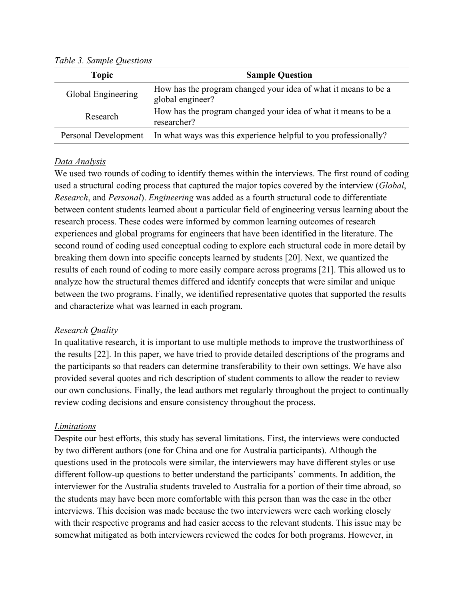| <b>Topic</b>       | <b>Sample Question</b>                                                               |
|--------------------|--------------------------------------------------------------------------------------|
| Global Engineering | How has the program changed your idea of what it means to be a<br>global engineer?   |
| Research           | How has the program changed your idea of what it means to be a<br>researcher?        |
|                    | Personal Development In what ways was this experience helpful to you professionally? |

*Table 3. Sample Questions*

### *Data Analysis*

We used two rounds of coding to identify themes within the interviews. The first round of coding used a structural coding process that captured the major topics covered by the interview (*Global*, *Research*, and *Personal*). *Engineering* was added as a fourth structural code to differentiate between content students learned about a particular field of engineering versus learning about the research process. These codes were informed by common learning outcomes of research experiences and global programs for engineers that have been identified in the literature. The second round of coding used conceptual coding to explore each structural code in more detail by breaking them down into specific concepts learned by students [20]. Next, we quantized the results of each round of coding to more easily compare across programs [21]. This allowed us to analyze how the structural themes differed and identify concepts that were similar and unique between the two programs. Finally, we identified representative quotes that supported the results and characterize what was learned in each program.

## *Research Quality*

In qualitative research, it is important to use multiple methods to improve the trustworthiness of the results [22]. In this paper, we have tried to provide detailed descriptions of the programs and the participants so that readers can determine transferability to their own settings. We have also provided several quotes and rich description of student comments to allow the reader to review our own conclusions. Finally, the lead authors met regularly throughout the project to continually review coding decisions and ensure consistency throughout the process.

### *Limitations*

Despite our best efforts, this study has several limitations. First, the interviews were conducted by two different authors (one for China and one for Australia participants). Although the questions used in the protocols were similar, the interviewers may have different styles or use different follow-up questions to better understand the participants' comments. In addition, the interviewer for the Australia students traveled to Australia for a portion of their time abroad, so the students may have been more comfortable with this person than was the case in the other interviews. This decision was made because the two interviewers were each working closely with their respective programs and had easier access to the relevant students. This issue may be somewhat mitigated as both interviewers reviewed the codes for both programs. However, in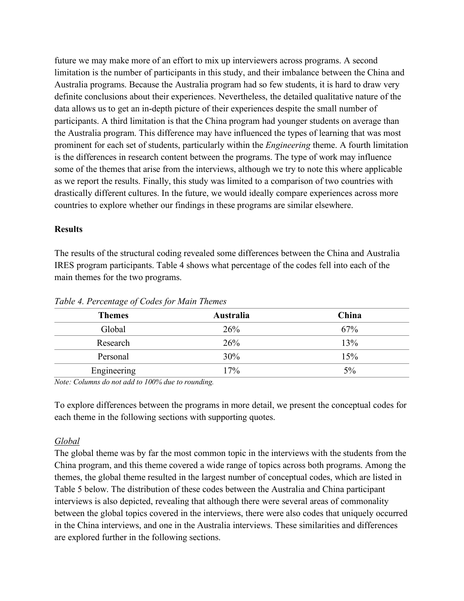future we may make more of an effort to mix up interviewers across programs. A second limitation is the number of participants in this study, and their imbalance between the China and Australia programs. Because the Australia program had so few students, it is hard to draw very definite conclusions about their experiences. Nevertheless, the detailed qualitative nature of the data allows us to get an in-depth picture of their experiences despite the small number of participants. A third limitation is that the China program had younger students on average than the Australia program. This difference may have influenced the types of learning that was most prominent for each set of students, particularly within the *Engineering* theme. A fourth limitation is the differences in research content between the programs. The type of work may influence some of the themes that arise from the interviews, although we try to note this where applicable as we report the results. Finally, this study was limited to a comparison of two countries with drastically different cultures. In the future, we would ideally compare experiences across more countries to explore whether our findings in these programs are similar elsewhere.

### **Results**

The results of the structural coding revealed some differences between the China and Australia IRES program participants. Table 4 shows what percentage of the codes fell into each of the main themes for the two programs.

| $\cdot$<br>$\cdot$<br>$\cdot$ |           |       |
|-------------------------------|-----------|-------|
| <b>Themes</b>                 | Australia | China |
| Global                        | 26%       | 67%   |
| Research                      | 26%       | 13%   |
| Personal                      | 30%       | 15%   |
| Engineering                   | 17%       | 5%    |

*Table 4. Percentage of Codes for Main Themes*

*Note: Columns do not add to 100% due to rounding.*

To explore differences between the programs in more detail, we present the conceptual codes for each theme in the following sections with supporting quotes.

## *Global*

The global theme was by far the most common topic in the interviews with the students from the China program, and this theme covered a wide range of topics across both programs. Among the themes, the global theme resulted in the largest number of conceptual codes, which are listed in Table 5 below. The distribution of these codes between the Australia and China participant interviews is also depicted, revealing that although there were several areas of commonality between the global topics covered in the interviews, there were also codes that uniquely occurred in the China interviews, and one in the Australia interviews. These similarities and differences are explored further in the following sections.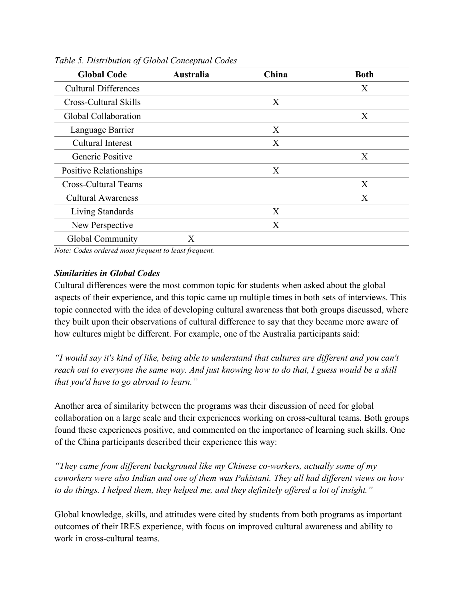| <b>Global Code</b>          | Australia | China | <b>Both</b> |
|-----------------------------|-----------|-------|-------------|
| <b>Cultural Differences</b> |           |       | X           |
| Cross-Cultural Skills       |           | X     |             |
| Global Collaboration        |           |       | X           |
| Language Barrier            |           | X     |             |
| <b>Cultural Interest</b>    |           | X     |             |
| Generic Positive            |           |       | X           |
| Positive Relationships      |           | X     |             |
| <b>Cross-Cultural Teams</b> |           |       | X           |
| <b>Cultural Awareness</b>   |           |       | X           |
| Living Standards            |           | X     |             |
| New Perspective             |           | X     |             |
| Global Community            | X         |       |             |

*Table 5. Distribution of Global Conceptual Codes*

*Note: Codes ordered most frequent to least frequent.*

### *Similarities in Global Codes*

Cultural differences were the most common topic for students when asked about the global aspects of their experience, and this topic came up multiple times in both sets of interviews. This topic connected with the idea of developing cultural awareness that both groups discussed, where they built upon their observations of cultural difference to say that they became more aware of how cultures might be different. For example, one of the Australia participants said:

*"I would say it's kind of like, being able to understand that cultures are different and you can't reach out to everyone the same way. And just knowing how to do that, I guess would be a skill that you'd have to go abroad to learn."*

Another area of similarity between the programs was their discussion of need for global collaboration on a large scale and their experiences working on cross-cultural teams. Both groups found these experiences positive, and commented on the importance of learning such skills. One of the China participants described their experience this way:

*"They came from different background like my Chinese co-workers, actually some of my coworkers were also Indian and one of them was Pakistani. They all had different views on how to do things. I helped them, they helped me, and they definitely offered a lot of insight."*

Global knowledge, skills, and attitudes were cited by students from both programs as important outcomes of their IRES experience, with focus on improved cultural awareness and ability to work in cross-cultural teams.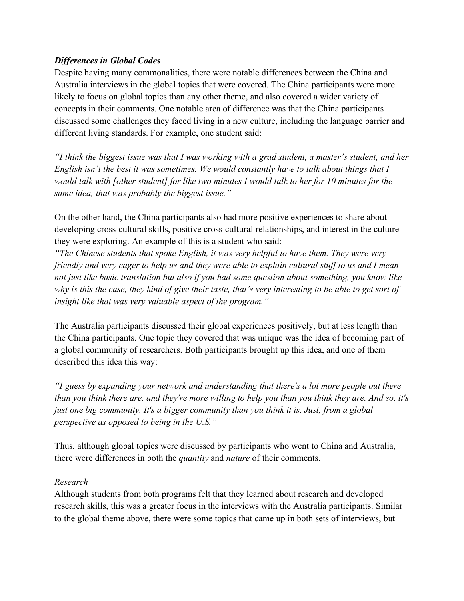## *Differences in Global Codes*

Despite having many commonalities, there were notable differences between the China and Australia interviews in the global topics that were covered. The China participants were more likely to focus on global topics than any other theme, and also covered a wider variety of concepts in their comments. One notable area of difference was that the China participants discussed some challenges they faced living in a new culture, including the language barrier and different living standards. For example, one student said:

*"I think the biggest issue was that I was working with a grad student, a master's student, and her English isn't the best it was sometimes. We would constantly have to talk about things that I would talk with [other student] for like two minutes I would talk to her for 10 minutes for the same idea, that was probably the biggest issue."*

On the other hand, the China participants also had more positive experiences to share about developing cross-cultural skills, positive cross-cultural relationships, and interest in the culture they were exploring. An example of this is a student who said:

*"The Chinese students that spoke English, it was very helpful to have them. They were very friendly and very eager to help us and they were able to explain cultural stuff to us and I mean not just like basic translation but also if you had some question about something, you know like why is this the case, they kind of give their taste, that's very interesting to be able to get sort of insight like that was very valuable aspect of the program."*

The Australia participants discussed their global experiences positively, but at less length than the China participants. One topic they covered that was unique was the idea of becoming part of a global community of researchers. Both participants brought up this idea, and one of them described this idea this way:

*"I guess by expanding your network and understanding that there's a lot more people out there than you think there are, and they're more willing to help you than you think they are. And so, it's just one big community. It's a bigger community than you think it is. Just, from a global perspective as opposed to being in the U.S."*

Thus, although global topics were discussed by participants who went to China and Australia, there were differences in both the *quantity* and *nature* of their comments.

### *Research*

Although students from both programs felt that they learned about research and developed research skills, this was a greater focus in the interviews with the Australia participants. Similar to the global theme above, there were some topics that came up in both sets of interviews, but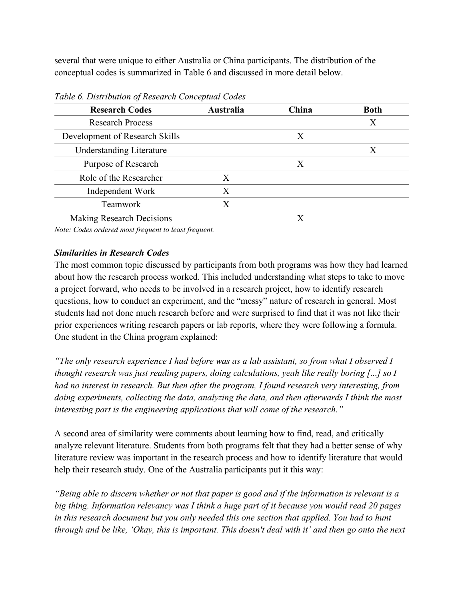several that were unique to either Australia or China participants. The distribution of the conceptual codes is summarized in Table 6 and discussed in more detail below.

| Australia | China | <b>Both</b> |
|-----------|-------|-------------|
|           |       | Χ           |
|           | X     |             |
|           |       | X           |
|           | X     |             |
| X         |       |             |
| X         |       |             |
| Х         |       |             |
|           | Х     |             |
|           |       |             |

*Table 6. Distribution of Research Conceptual Codes*

*Note: Codes ordered most frequent to least frequent.*

## *Similarities in Research Codes*

The most common topic discussed by participants from both programs was how they had learned about how the research process worked. This included understanding what steps to take to move a project forward, who needs to be involved in a research project, how to identify research questions, how to conduct an experiment, and the "messy" nature of research in general. Most students had not done much research before and were surprised to find that it was not like their prior experiences writing research papers or lab reports, where they were following a formula. One student in the China program explained:

*"The only research experience I had before was as a lab assistant, so from what I observed I thought research was just reading papers, doing calculations, yeah like really boring [...] so I had no interest in research. But then after the program, I found research very interesting, from doing experiments, collecting the data, analyzing the data, and then afterwards I think the most interesting part is the engineering applications that will come of the research."* 

A second area of similarity were comments about learning how to find, read, and critically analyze relevant literature. Students from both programs felt that they had a better sense of why literature review was important in the research process and how to identify literature that would help their research study. One of the Australia participants put it this way:

*"Being able to discern whether or not that paper is good and if the information is relevant is a big thing. Information relevancy was I think a huge part of it because you would read 20 pages in this research document but you only needed this one section that applied. You had to hunt through and be like, 'Okay, this is important. This doesn't deal with it' and then go onto the next*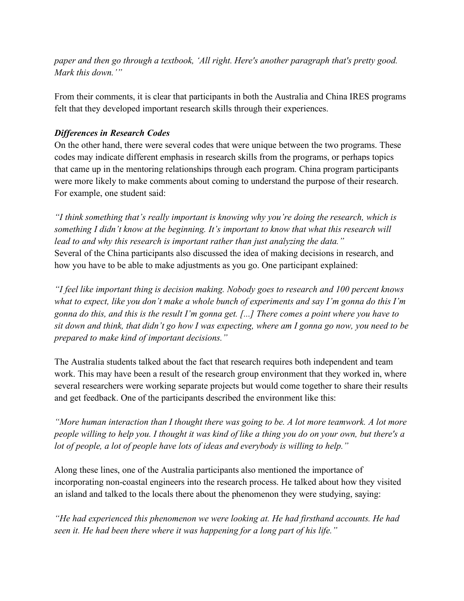*paper and then go through a textbook, 'All right. Here's another paragraph that's pretty good. Mark this down.'"*

From their comments, it is clear that participants in both the Australia and China IRES programs felt that they developed important research skills through their experiences.

### *Differences in Research Codes*

On the other hand, there were several codes that were unique between the two programs. These codes may indicate different emphasis in research skills from the programs, or perhaps topics that came up in the mentoring relationships through each program. China program participants were more likely to make comments about coming to understand the purpose of their research. For example, one student said:

*"I think something that's really important is knowing why you're doing the research, which is something I didn't know at the beginning. It's important to know that what this research will lead to and why this research is important rather than just analyzing the data."* Several of the China participants also discussed the idea of making decisions in research, and how you have to be able to make adjustments as you go. One participant explained:

*"I feel like important thing is decision making. Nobody goes to research and 100 percent knows what to expect, like you don't make a whole bunch of experiments and say I'm gonna do this I'm gonna do this, and this is the result I'm gonna get. [...] There comes a point where you have to sit down and think, that didn't go how I was expecting, where am I gonna go now, you need to be prepared to make kind of important decisions."*

The Australia students talked about the fact that research requires both independent and team work. This may have been a result of the research group environment that they worked in, where several researchers were working separate projects but would come together to share their results and get feedback. One of the participants described the environment like this:

*"More human interaction than I thought there was going to be. A lot more teamwork. A lot more people willing to help you. I thought it was kind of like a thing you do on your own, but there's a lot of people, a lot of people have lots of ideas and everybody is willing to help."*

Along these lines, one of the Australia participants also mentioned the importance of incorporating non-coastal engineers into the research process. He talked about how they visited an island and talked to the locals there about the phenomenon they were studying, saying:

*"He had experienced this phenomenon we were looking at. He had firsthand accounts. He had seen it. He had been there where it was happening for a long part of his life."*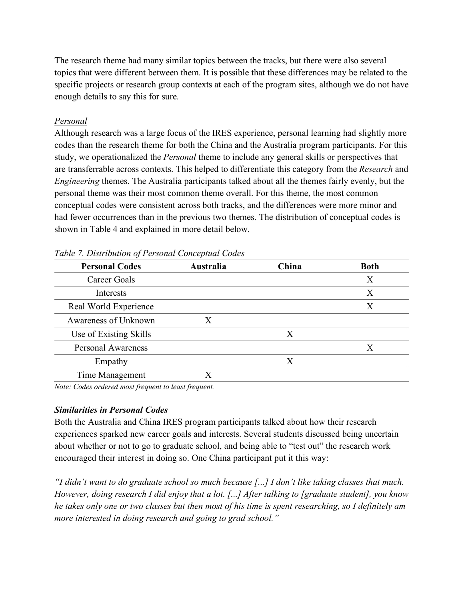The research theme had many similar topics between the tracks, but there were also several topics that were different between them. It is possible that these differences may be related to the specific projects or research group contexts at each of the program sites, although we do not have enough details to say this for sure.

## *Personal*

Although research was a large focus of the IRES experience, personal learning had slightly more codes than the research theme for both the China and the Australia program participants. For this study, we operationalized the *Personal* theme to include any general skills or perspectives that are transferrable across contexts. This helped to differentiate this category from the *Research* and *Engineering* themes. The Australia participants talked about all the themes fairly evenly, but the personal theme was their most common theme overall. For this theme, the most common conceptual codes were consistent across both tracks, and the differences were more minor and had fewer occurrences than in the previous two themes. The distribution of conceptual codes is shown in Table 4 and explained in more detail below.

| <b>Personal Codes</b>     | Australia | China | <b>Both</b> |
|---------------------------|-----------|-------|-------------|
| Career Goals              |           |       | X           |
| Interests                 |           |       | X           |
| Real World Experience     |           |       | X           |
| Awareness of Unknown      | X         |       |             |
| Use of Existing Skills    |           | X     |             |
| <b>Personal Awareness</b> |           |       | X           |
| Empathy                   |           | Χ     |             |
| Time Management           | Х         |       |             |

*Table 7. Distribution of Personal Conceptual Codes*

*Note: Codes ordered most frequent to least frequent.*

## *Similarities in Personal Codes*

Both the Australia and China IRES program participants talked about how their research experiences sparked new career goals and interests. Several students discussed being uncertain about whether or not to go to graduate school, and being able to "test out" the research work encouraged their interest in doing so. One China participant put it this way:

*"I didn't want to do graduate school so much because [...] I don't like taking classes that much. However, doing research I did enjoy that a lot. [...] After talking to [graduate student], you know he takes only one or two classes but then most of his time is spent researching, so I definitely am more interested in doing research and going to grad school."*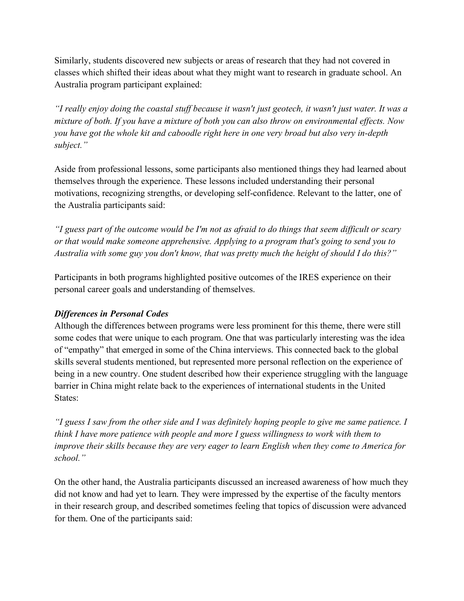Similarly, students discovered new subjects or areas of research that they had not covered in classes which shifted their ideas about what they might want to research in graduate school. An Australia program participant explained:

*"I really enjoy doing the coastal stuff because it wasn't just geotech, it wasn't just water. It was a mixture of both. If you have a mixture of both you can also throw on environmental effects. Now you have got the whole kit and caboodle right here in one very broad but also very in-depth subject."*

Aside from professional lessons, some participants also mentioned things they had learned about themselves through the experience. These lessons included understanding their personal motivations, recognizing strengths, or developing self-confidence. Relevant to the latter, one of the Australia participants said:

*"I guess part of the outcome would be I'm not as afraid to do things that seem difficult or scary or that would make someone apprehensive. Applying to a program that's going to send you to Australia with some guy you don't know, that was pretty much the height of should I do this?"*

Participants in both programs highlighted positive outcomes of the IRES experience on their personal career goals and understanding of themselves.

## *Differences in Personal Codes*

Although the differences between programs were less prominent for this theme, there were still some codes that were unique to each program. One that was particularly interesting was the idea of "empathy" that emerged in some of the China interviews. This connected back to the global skills several students mentioned, but represented more personal reflection on the experience of being in a new country. One student described how their experience struggling with the language barrier in China might relate back to the experiences of international students in the United States:

*"I guess I saw from the other side and I was definitely hoping people to give me same patience. I think I have more patience with people and more I guess willingness to work with them to improve their skills because they are very eager to learn English when they come to America for school."*

On the other hand, the Australia participants discussed an increased awareness of how much they did not know and had yet to learn. They were impressed by the expertise of the faculty mentors in their research group, and described sometimes feeling that topics of discussion were advanced for them. One of the participants said: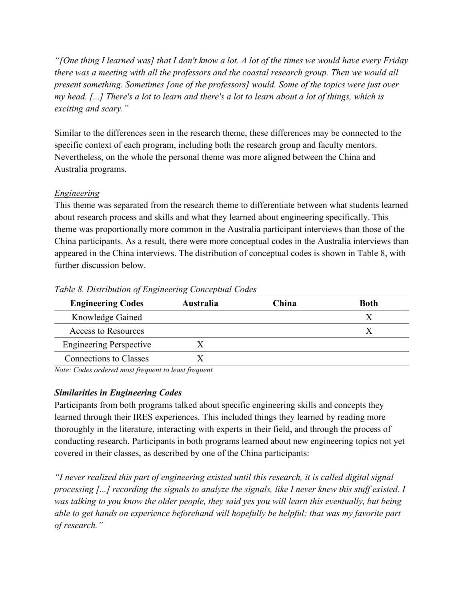*"[One thing I learned was] that I don't know a lot. A lot of the times we would have every Friday there was a meeting with all the professors and the coastal research group. Then we would all present something. Sometimes [one of the professors] would. Some of the topics were just over my head. [...] There's a lot to learn and there's a lot to learn about a lot of things, which is exciting and scary."*

Similar to the differences seen in the research theme, these differences may be connected to the specific context of each program, including both the research group and faculty mentors. Nevertheless, on the whole the personal theme was more aligned between the China and Australia programs.

## *Engineering*

This theme was separated from the research theme to differentiate between what students learned about research process and skills and what they learned about engineering specifically. This theme was proportionally more common in the Australia participant interviews than those of the China participants. As a result, there were more conceptual codes in the Australia interviews than appeared in the China interviews. The distribution of conceptual codes is shown in Table 8, with further discussion below.

| <b>Engineering Codes</b>       | <b>Australia</b> | China | <b>Both</b> |
|--------------------------------|------------------|-------|-------------|
| Knowledge Gained               |                  |       |             |
| Access to Resources            |                  |       |             |
| <b>Engineering Perspective</b> |                  |       |             |
| <b>Connections to Classes</b>  |                  |       |             |

### *Table 8. Distribution of Engineering Conceptual Codes*

*Note: Codes ordered most frequent to least frequent.*

## *Similarities in Engineering Codes*

Participants from both programs talked about specific engineering skills and concepts they learned through their IRES experiences. This included things they learned by reading more thoroughly in the literature, interacting with experts in their field, and through the process of conducting research. Participants in both programs learned about new engineering topics not yet covered in their classes, as described by one of the China participants:

*"I never realized this part of engineering existed until this research, it is called digital signal processing [...] recording the signals to analyze the signals, like I never knew this stuff existed. I was talking to you know the older people, they said yes you will learn this eventually, but being able to get hands on experience beforehand will hopefully be helpful; that was my favorite part of research."*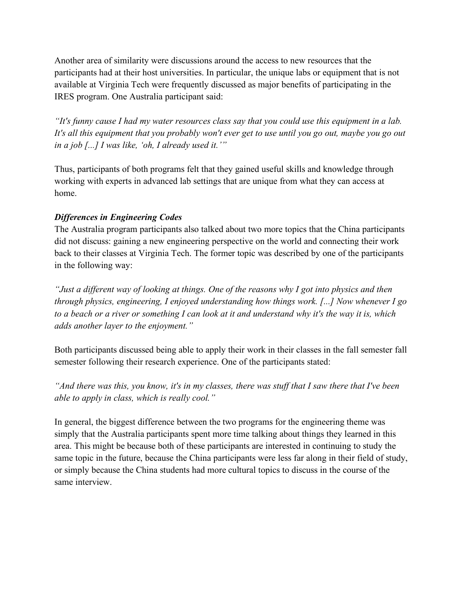Another area of similarity were discussions around the access to new resources that the participants had at their host universities. In particular, the unique labs or equipment that is not available at Virginia Tech were frequently discussed as major benefits of participating in the IRES program. One Australia participant said:

*"It's funny cause I had my water resources class say that you could use this equipment in a lab. It's all this equipment that you probably won't ever get to use until you go out, maybe you go out in a job [...] I was like, 'oh, I already used it.'"*

Thus, participants of both programs felt that they gained useful skills and knowledge through working with experts in advanced lab settings that are unique from what they can access at home.

## *Differences in Engineering Codes*

The Australia program participants also talked about two more topics that the China participants did not discuss: gaining a new engineering perspective on the world and connecting their work back to their classes at Virginia Tech. The former topic was described by one of the participants in the following way:

*"Just a different way of looking at things. One of the reasons why I got into physics and then through physics, engineering, I enjoyed understanding how things work. [...] Now whenever I go to a beach or a river or something I can look at it and understand why it's the way it is, which adds another layer to the enjoyment."*

Both participants discussed being able to apply their work in their classes in the fall semester fall semester following their research experience. One of the participants stated:

*"And there was this, you know, it's in my classes, there was stuff that I saw there that I've been able to apply in class, which is really cool."*

In general, the biggest difference between the two programs for the engineering theme was simply that the Australia participants spent more time talking about things they learned in this area. This might be because both of these participants are interested in continuing to study the same topic in the future, because the China participants were less far along in their field of study, or simply because the China students had more cultural topics to discuss in the course of the same interview.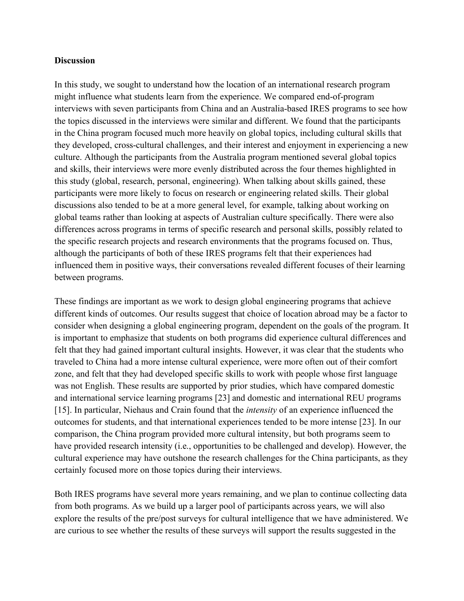#### **Discussion**

In this study, we sought to understand how the location of an international research program might influence what students learn from the experience. We compared end-of-program interviews with seven participants from China and an Australia-based IRES programs to see how the topics discussed in the interviews were similar and different. We found that the participants in the China program focused much more heavily on global topics, including cultural skills that they developed, cross-cultural challenges, and their interest and enjoyment in experiencing a new culture. Although the participants from the Australia program mentioned several global topics and skills, their interviews were more evenly distributed across the four themes highlighted in this study (global, research, personal, engineering). When talking about skills gained, these participants were more likely to focus on research or engineering related skills. Their global discussions also tended to be at a more general level, for example, talking about working on global teams rather than looking at aspects of Australian culture specifically. There were also differences across programs in terms of specific research and personal skills, possibly related to the specific research projects and research environments that the programs focused on. Thus, although the participants of both of these IRES programs felt that their experiences had influenced them in positive ways, their conversations revealed different focuses of their learning between programs.

These findings are important as we work to design global engineering programs that achieve different kinds of outcomes. Our results suggest that choice of location abroad may be a factor to consider when designing a global engineering program, dependent on the goals of the program. It is important to emphasize that students on both programs did experience cultural differences and felt that they had gained important cultural insights. However, it was clear that the students who traveled to China had a more intense cultural experience, were more often out of their comfort zone, and felt that they had developed specific skills to work with people whose first language was not English. These results are supported by prior studies, which have compared domestic and international service learning programs [23] and domestic and international REU programs [15]. In particular, Niehaus and Crain found that the *intensity* of an experience influenced the outcomes for students, and that international experiences tended to be more intense [23]. In our comparison, the China program provided more cultural intensity, but both programs seem to have provided research intensity (i.e., opportunities to be challenged and develop). However, the cultural experience may have outshone the research challenges for the China participants, as they certainly focused more on those topics during their interviews.

Both IRES programs have several more years remaining, and we plan to continue collecting data from both programs. As we build up a larger pool of participants across years, we will also explore the results of the pre/post surveys for cultural intelligence that we have administered. We are curious to see whether the results of these surveys will support the results suggested in the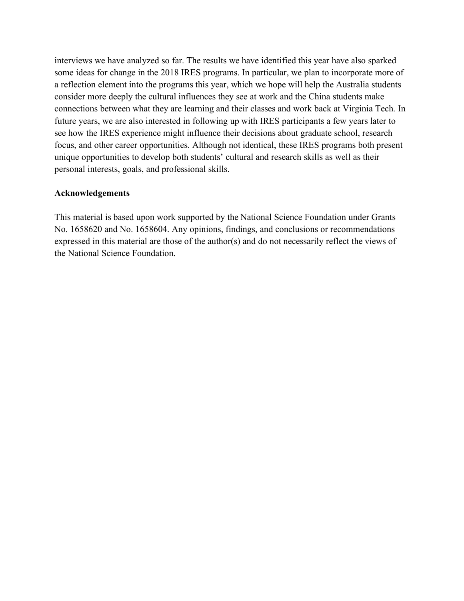interviews we have analyzed so far. The results we have identified this year have also sparked some ideas for change in the 2018 IRES programs. In particular, we plan to incorporate more of a reflection element into the programs this year, which we hope will help the Australia students consider more deeply the cultural influences they see at work and the China students make connections between what they are learning and their classes and work back at Virginia Tech. In future years, we are also interested in following up with IRES participants a few years later to see how the IRES experience might influence their decisions about graduate school, research focus, and other career opportunities. Although not identical, these IRES programs both present unique opportunities to develop both students' cultural and research skills as well as their personal interests, goals, and professional skills.

### **Acknowledgements**

This material is based upon work supported by the National Science Foundation under Grants No. 1658620 and No. 1658604. Any opinions, findings, and conclusions or recommendations expressed in this material are those of the author(s) and do not necessarily reflect the views of the National Science Foundation.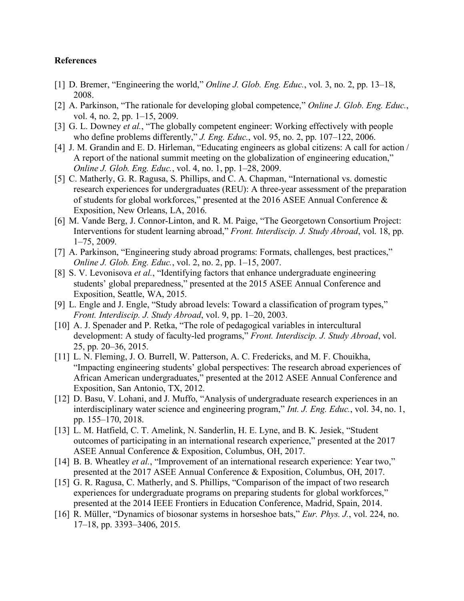#### **References**

- [1] D. Bremer, "Engineering the world," *Online J. Glob. Eng. Educ.*, vol. 3, no. 2, pp. 13–18, 2008.
- [2] A. Parkinson, "The rationale for developing global competence," *Online J. Glob. Eng. Educ.*, vol. 4, no. 2, pp. 1–15, 2009.
- [3] G. L. Downey *et al.*, "The globally competent engineer: Working effectively with people who define problems differently," *J. Eng. Educ.*, vol. 95, no. 2, pp. 107–122, 2006.
- [4] J. M. Grandin and E. D. Hirleman, "Educating engineers as global citizens: A call for action / A report of the national summit meeting on the globalization of engineering education," *Online J. Glob. Eng. Educ.*, vol. 4, no. 1, pp. 1–28, 2009.
- [5] C. Matherly, G. R. Ragusa, S. Phillips, and C. A. Chapman, "International vs. domestic research experiences for undergraduates (REU): A three-year assessment of the preparation of students for global workforces," presented at the 2016 ASEE Annual Conference & Exposition, New Orleans, LA, 2016.
- [6] M. Vande Berg, J. Connor-Linton, and R. M. Paige, "The Georgetown Consortium Project: Interventions for student learning abroad," *Front. Interdiscip. J. Study Abroad*, vol. 18, pp. 1–75, 2009.
- [7] A. Parkinson, "Engineering study abroad programs: Formats, challenges, best practices," *Online J. Glob. Eng. Educ.*, vol. 2, no. 2, pp. 1–15, 2007.
- [8] S. V. Levonisova *et al.*, "Identifying factors that enhance undergraduate engineering students' global preparedness," presented at the 2015 ASEE Annual Conference and Exposition, Seattle, WA, 2015.
- [9] L. Engle and J. Engle, "Study abroad levels: Toward a classification of program types," *Front. Interdiscip. J. Study Abroad*, vol. 9, pp. 1–20, 2003.
- [10] A. J. Spenader and P. Retka, "The role of pedagogical variables in intercultural development: A study of faculty-led programs," *Front. Interdiscip. J. Study Abroad*, vol. 25, pp. 20–36, 2015.
- [11] L. N. Fleming, J. O. Burrell, W. Patterson, A. C. Fredericks, and M. F. Chouikha, "Impacting engineering students' global perspectives: The research abroad experiences of African American undergraduates," presented at the 2012 ASEE Annual Conference and Exposition, San Antonio, TX, 2012.
- [12] D. Basu, V. Lohani, and J. Muffo, "Analysis of undergraduate research experiences in an interdisciplinary water science and engineering program," *Int. J. Eng. Educ.*, vol. 34, no. 1, pp. 155–170, 2018.
- [13] L. M. Hatfield, C. T. Amelink, N. Sanderlin, H. E. Lyne, and B. K. Jesiek, "Student outcomes of participating in an international research experience," presented at the 2017 ASEE Annual Conference & Exposition, Columbus, OH, 2017.
- [14] B. B. Wheatley *et al.*, "Improvement of an international research experience: Year two," presented at the 2017 ASEE Annual Conference & Exposition, Columbus, OH, 2017.
- [15] G. R. Ragusa, C. Matherly, and S. Phillips, "Comparison of the impact of two research experiences for undergraduate programs on preparing students for global workforces," presented at the 2014 IEEE Frontiers in Education Conference, Madrid, Spain, 2014.
- [16] R. Müller, "Dynamics of biosonar systems in horseshoe bats," *Eur. Phys. J.*, vol. 224, no. 17–18, pp. 3393–3406, 2015.